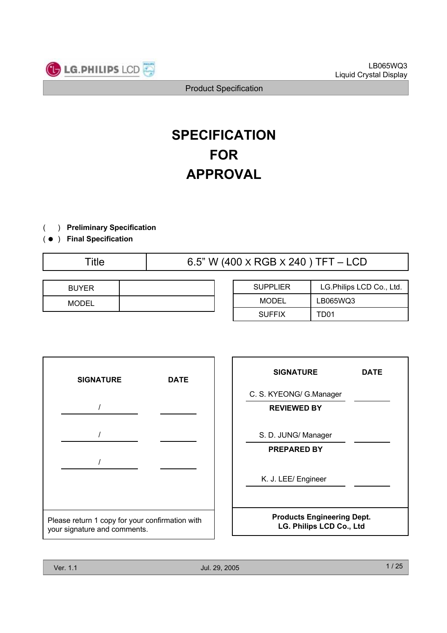

# **SPECIFICATION FOR APPROVAL**

- ) **Preliminary Specification** $\left($
- ) ( **Final Specification**

| I | itlo |  |  |
|---|------|--|--|
|   |      |  |  |

Title  $6.5$ " W (400 X RGB X 240 ) TFT – LCD

| <b>BUYER</b> |  |
|--------------|--|
| <b>MODEL</b> |  |

| <b>SUPPLIER</b> | LG. Philips LCD Co., Ltd. |
|-----------------|---------------------------|
| MODEL           | LB065WQ3                  |
| <b>SUFFIX</b>   | TD01                      |



| <b>SIGNATURE</b>                                              | <b>DATE</b> |  |  |  |  |
|---------------------------------------------------------------|-------------|--|--|--|--|
| C. S. KYEONG/ G.Manager                                       |             |  |  |  |  |
| <b>REVIEWED BY</b>                                            |             |  |  |  |  |
| S. D. JUNG/ Manager                                           |             |  |  |  |  |
| <b>PREPARED BY</b>                                            |             |  |  |  |  |
| K. J. LEE/ Engineer                                           |             |  |  |  |  |
| <b>Products Engineering Dept.</b><br>LG. Philips LCD Co., Ltd |             |  |  |  |  |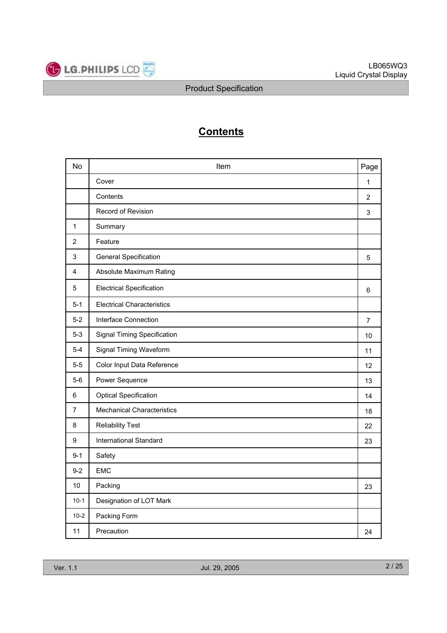

# **Contents**

| No      | Item                               | Page           |
|---------|------------------------------------|----------------|
|         | Cover                              | 1              |
|         | Contents                           | $\overline{2}$ |
|         | Record of Revision                 | 3              |
| 1       | Summary                            |                |
| 2       | Feature                            |                |
| 3       | <b>General Specification</b>       | 5              |
| 4       | Absolute Maximum Rating            |                |
| 5       | <b>Electrical Specification</b>    | 6              |
| $5 - 1$ | <b>Electrical Characteristics</b>  |                |
| $5-2$   | Interface Connection               | $\overline{7}$ |
| $5 - 3$ | <b>Signal Timing Specification</b> | 10             |
| $5 - 4$ | Signal Timing Waveform             | 11             |
| $5-5$   | Color Input Data Reference         | 12             |
| $5-6$   | Power Sequence                     | 13             |
| 6       | <b>Optical Specification</b>       | 14             |
| 7       | <b>Mechanical Characteristics</b>  | 18             |
| 8       | <b>Reliability Test</b>            | 22             |
| 9       | <b>International Standard</b>      | 23             |
| $9 - 1$ | Safety                             |                |
| $9 - 2$ | <b>EMC</b>                         |                |
| 10      | Packing                            | 23             |
| $10-1$  | Designation of LOT Mark            |                |
| $10-2$  | Packing Form                       |                |
| 11      | Precaution                         | 24             |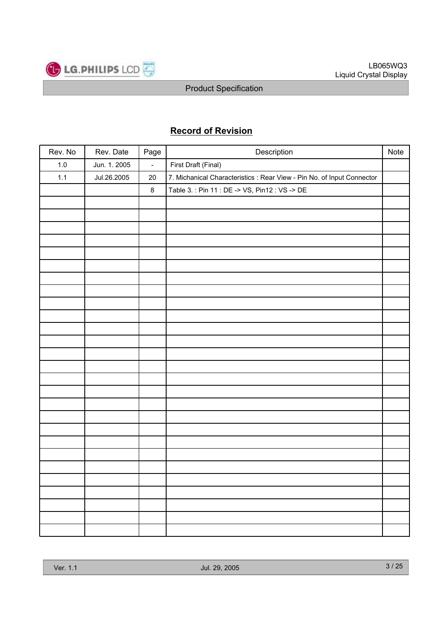

# **Record of Revision**

| Rev. No | Rev. Date    | Page    | Description                                                            | Note |
|---------|--------------|---------|------------------------------------------------------------------------|------|
| $1.0\,$ | Jun. 1. 2005 | $\Box$  | First Draft (Final)                                                    |      |
| 1.1     | Jul.26.2005  | 20      | 7. Michanical Characteristics : Rear View - Pin No. of Input Connector |      |
|         |              | $\bf 8$ | Table 3.: Pin 11 : DE -> VS, Pin12 : VS -> DE                          |      |
|         |              |         |                                                                        |      |
|         |              |         |                                                                        |      |
|         |              |         |                                                                        |      |
|         |              |         |                                                                        |      |
|         |              |         |                                                                        |      |
|         |              |         |                                                                        |      |
|         |              |         |                                                                        |      |
|         |              |         |                                                                        |      |
|         |              |         |                                                                        |      |
|         |              |         |                                                                        |      |
|         |              |         |                                                                        |      |
|         |              |         |                                                                        |      |
|         |              |         |                                                                        |      |
|         |              |         |                                                                        |      |
|         |              |         |                                                                        |      |
|         |              |         |                                                                        |      |
|         |              |         |                                                                        |      |
|         |              |         |                                                                        |      |
|         |              |         |                                                                        |      |
|         |              |         |                                                                        |      |
|         |              |         |                                                                        |      |
|         |              |         |                                                                        |      |
|         |              |         |                                                                        |      |
|         |              |         |                                                                        |      |
|         |              |         |                                                                        |      |
|         |              |         |                                                                        |      |
|         |              |         |                                                                        |      |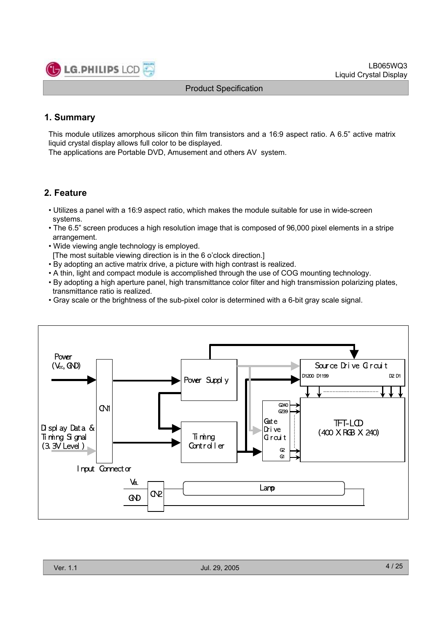

# **1. Summary**

This module utilizes amorphous silicon thin film transistors and a 16:9 aspect ratio. A 6.5" active matrix liquid crystal display allows full color to be displayed.

The applications are Portable DVD, Amusement and others AV system.

# **2. Feature**

- Utilizes a panel with a 16:9 aspect ratio, which makes the module suitable for use in wide-screen systems.
- The 6.5" screen produces a high resolution image that is composed of 96,000 pixel elements in a stripe arrangement.
- Wide viewing angle technology is employed.
- [The most suitable viewing direction is in the 6 o'clock direction.]
- By adopting an active matrix drive, a picture with high contrast is realized.
- A thin, light and compact module is accomplished through the use of COG mounting technology.
- By adopting a high aperture panel, high transmittance color filter and high transmission polarizing plates, transmittance ratio is realized.
- Gray scale or the brightness of the sub-pixel color is determined with a 6-bit gray scale signal.

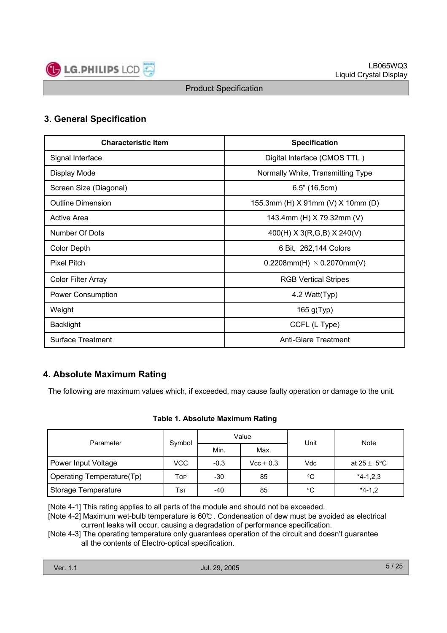

# **3. General Specification**

| <b>Characteristic Item</b> | <b>Specification</b>              |  |  |
|----------------------------|-----------------------------------|--|--|
| Signal Interface           | Digital Interface (CMOS TTL)      |  |  |
| Display Mode               | Normally White, Transmitting Type |  |  |
| Screen Size (Diagonal)     | $6.5$ " (16.5cm)                  |  |  |
| <b>Outline Dimension</b>   | 155.3mm (H) X 91mm (V) X 10mm (D) |  |  |
| <b>Active Area</b>         | 143.4mm (H) X 79.32mm (V)         |  |  |
| Number Of Dots             | $400(H)$ X 3(R,G,B) X 240(V)      |  |  |
| <b>Color Depth</b>         | 6 Bit, 262,144 Colors             |  |  |
| <b>Pixel Pitch</b>         | 0.2208mm(H) $\times$ 0.2070mm(V)  |  |  |
| Color Filter Array         | <b>RGB Vertical Stripes</b>       |  |  |
| Power Consumption          | 4.2 Watt(Typ)                     |  |  |
| Weight                     | $165$ g(Typ)                      |  |  |
| <b>Backlight</b>           | CCFL (L Type)                     |  |  |
| <b>Surface Treatment</b>   | <b>Anti-Glare Treatment</b>       |  |  |

# **4. Absolute Maximum Rating**

The following are maximum values which, if exceeded, may cause faulty operation or damage to the unit.

#### **Table 1. Absolute Maximum Rating**

| Parameter                 | Symbol |        | Value       | Unit       | <b>Note</b>             |  |
|---------------------------|--------|--------|-------------|------------|-------------------------|--|
|                           |        | Min.   | Max.        |            |                         |  |
| Power Input Voltage       | VCC    | $-0.3$ | $Vec + 0.3$ | <b>Vdc</b> | at $25 \pm 5^{\circ}$ C |  |
| Operating Temperature(Tp) | Тор    | -30    | 85          | °C         | $*4-1,2,3$              |  |
| Storage Temperature       | Tst    | -40    | 85          | °C         | $*4-1,2$                |  |

[Note 4-1] This rating applies to all parts of the module and should not be exceeded.

[Note 4-2] Maximum wet-bulb temperature is 60°C. Condensation of dew must be avoided as electrical current leaks will occur, causing a degradation of performance specification.

[Note 4-3] The operating temperature only guarantees operation of the circuit and doesn't guarantee all the contents of Electro-optical specification.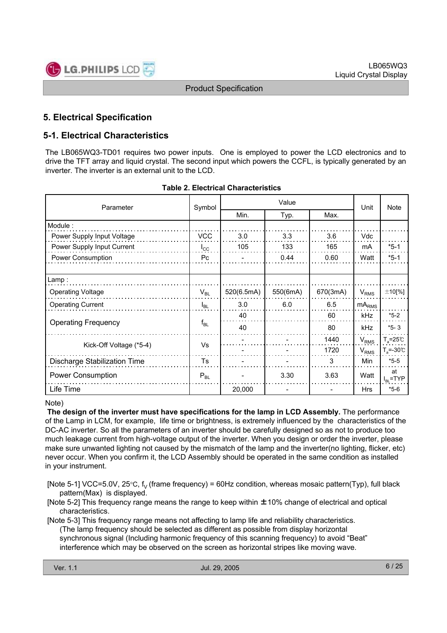

# **5. Electrical Specification**

# **5-1. Electrical Characteristics**

The LB065WQ3-TD01 requires two power inputs. One is employed to power the LCD electronics and to drive the TFT array and liquid crystal. The second input which powers the CCFL, is typically generated by an inverter. The inverter is an external unit to the LCD.

| Parameter                    | Symbol       |            | Unit         | <b>Note</b> |            |                           |
|------------------------------|--------------|------------|--------------|-------------|------------|---------------------------|
|                              |              | Min.       | Max.<br>Typ. |             |            |                           |
| Module:                      |              |            |              |             |            |                           |
| Power Supply Input Voltage   | <b>VCC</b>   | 3.0        | 3.3          | 3.6         | Vdc        |                           |
| Power Supply Input Current   | $I_{\rm CC}$ | 105        | 133          | 165         | mA         | $*5-1$                    |
| Power Consumption            | Pc           |            | 0.44         | 0.60        | Watt       | $*5-1$                    |
|                              |              |            |              |             |            |                           |
| Lamp:                        |              |            |              |             |            |                           |
| <b>Operating Voltage</b>     | $V_{BL}$     | 520(6.5mA) | 550(6mA)     | 670(3mA)    | $V_{RMS}$  | $±10$ [%]                 |
| <b>Operating Current</b>     | $I_{BL}$     | 3.0        | 6.0          | 6.5         | $mA_{RMS}$ |                           |
|                              | $f_{BL}$     | 40         |              | 60          | kHz        | $*5-2$                    |
| <b>Operating Frequency</b>   |              | 40         |              | 80          | kHz        | $*5 - 3$                  |
|                              |              |            |              | 1440        | $V_{RMS}$  | $T_a = 25^\circ \text{C}$ |
| Kick-Off Voltage (*5-4)      | Vs           |            |              | 1720        | $V_{RMS}$  | $T_a = -30^{\circ}$       |
| Discharge Stabilization Time | Ts           |            |              | 3           | Min        | $*5-5$                    |
| <b>Power Consumption</b>     | $P_{BL}$     |            | 3.30         | 3.63        | Watt       | at<br>$I_{BL}$ =TYP       |
| Life Time                    |              | 20,000     |              |             | Hrs        | $*5-6$                    |

| <b>Table 2. Electrical Characteristics</b> |
|--------------------------------------------|
|--------------------------------------------|

#### Note)

**The design of the inverter must have specifications for the lamp in LCD Assembly.** The performance of the Lamp in LCM, for example, life time or brightness, is extremely influenced by the characteristics of the DC-AC inverter. So all the parameters of an inverter should be carefully designed so as not to produce too much leakage current from high-voltage output of the inverter. When you design or order the inverter, please make sure unwanted lighting not caused by the mismatch of the lamp and the inverter(no lighting, flicker, etc) never occur. When you confirm it, the LCD Assembly should be operated in the same condition as installed in your instrument.

[Note 5-1] VCC=5.0V, 25 $\degree$ C, f<sub>V</sub> (frame frequency) = 60Hz condition, whereas mosaic pattern(Typ), full black pattern(Max) is displayed.

[Note 5-2] This frequency range means the range to keep within ±10% change of electrical and optical characteristics.

[Note 5-3] This frequency range means not affecting to lamp life and reliability characteristics. (The lamp frequency should be selected as different as possible from display horizontal synchronous signal (Including harmonic frequency of this scanning frequency) to avoid "Beat" interference which may be observed on the screen as horizontal stripes like moving wave.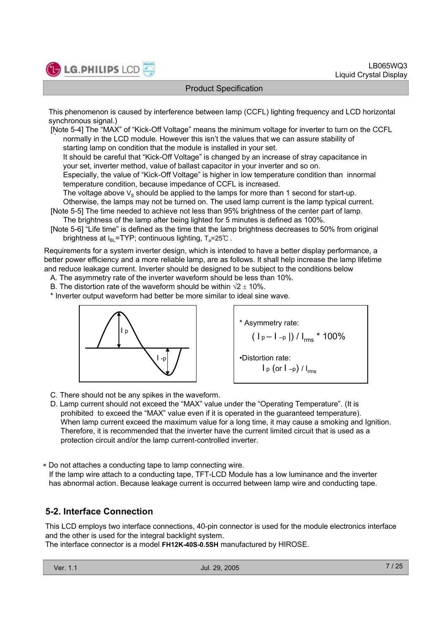

This phenomenon is caused by interference between lamp (CCFL) lighting frequency and LCD horizontal synchronous signal.)

. [Note 5-4] The "MAX" of "Kick-Off Voltage" means the minimum voltage for inverter to turn on the CCFL normally in the LCD module. However this isn't the values that we can assure stability of starting lamp on condition that the module is installed in your set.

It should be careful that "Kick-Off Voltage" is changed by an increase of stray capacitance in your set, inverter method, value of ballast capacitor in your inverter and so on.

Especially, the value of "Kick-Off Voltage" is higher in low temperature condition than innormal temperature condition, because impedance of CCFL is increased.

The voltage above  $V_S$  should be applied to the lamps for more than 1 second for start-up.

Otherwise, the lamps may not be turned on. The used lamp current is the lamp typical current.

[Note 5-5] The time needed to achieve not less than 95% brightness of the center part of lamp. The brightness of the lamp after being lighted for 5 minutes is defined as 100%.

[Note 5-6] "Life time" is defined as the time that the lamp brightness decreases to 50% from original brightness at  $I_{BL}$ =TYP; continuous lighting,  $T_a$ =25°C.

Requirements for a system inverter design, which is intended to have a better display performance, a better power efficiency and a more reliable lamp, are as follows. It shall help increase the lamp lifetime and reduce leakage current. Inverter should be designed to be subject to the conditions below

A. The asymmetry rate of the inverter waveform should be less than 10%.

B. The distortion rate of the waveform should be within  $\sqrt{2} \pm 10\%$ .

\* Inverter output waveform had better be more similar to ideal sine wave.





C. There should not be any spikes in the waveform.

D. Lamp current should not exceed the "MAX" value under the "Operating Temperature". (It is prohibited to exceed the "MAX" value even if it is operated in the guaranteed temperature). When lamp current exceed the maximum value for a long time, it may cause a smoking and Ignition. Therefore, it is recommended that the inverter have the current limited circuit that is used as a protection circuit and/or the lamp current-controlled inverter.

 Do not attaches a conducting tape to lamp connecting wire. If the lamp wire attach to a conducting tape, TFT-LCD Module has a low luminance and the inverter has abnormal action. Because leakage current is occurred between lamp wire and conducting tape.

# **5-2. Interface Connection**

This LCD employs two interface connections, 40-pin connector is used for the module electronics interface and the other is used for the integral backlight system.

The interface connector is a model **FH12K-40S-0.5SH** manufactured by HIROSE.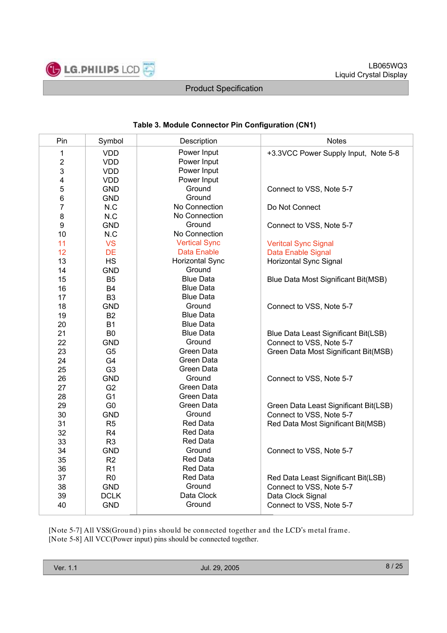

# **Table 3. Module Connector Pin Configuration (CN1)**

| Pin                     | Symbol         | Description            | <b>Notes</b>                          |
|-------------------------|----------------|------------------------|---------------------------------------|
| $\mathbf{1}$            | <b>VDD</b>     | Power Input            | +3.3VCC Power Supply Input, Note 5-8  |
| $\boldsymbol{2}$        | <b>VDD</b>     | Power Input            |                                       |
| 3                       | <b>VDD</b>     | Power Input            |                                       |
| $\overline{\mathbf{4}}$ | <b>VDD</b>     | Power Input            |                                       |
| 5                       | <b>GND</b>     | Ground                 | Connect to VSS, Note 5-7              |
| 6                       | <b>GND</b>     | Ground                 |                                       |
| $\overline{7}$          | N.C            | No Connection          | Do Not Connect                        |
| 8                       | N.C            | No Connection          |                                       |
| 9                       | <b>GND</b>     | Ground                 | Connect to VSS, Note 5-7              |
| 10                      | N.C            | No Connection          |                                       |
| 11                      | <b>VS</b>      | <b>Vertical Sync</b>   | <b>Veritcal Sync Signal</b>           |
| 12                      | <b>DE</b>      | Data Enable            | Data Enable Signal                    |
| 13                      | <b>HS</b>      | <b>Horizontal Sync</b> | <b>Horizontal Sync Signal</b>         |
| 14                      | <b>GND</b>     | Ground                 |                                       |
| 15                      | B <sub>5</sub> | <b>Blue Data</b>       | Blue Data Most Significant Bit(MSB)   |
| 16                      | <b>B4</b>      | <b>Blue Data</b>       |                                       |
| 17                      | B <sub>3</sub> | <b>Blue Data</b>       |                                       |
| 18                      | <b>GND</b>     | Ground                 | Connect to VSS, Note 5-7              |
| 19                      | <b>B2</b>      | <b>Blue Data</b>       |                                       |
| 20                      | <b>B1</b>      | <b>Blue Data</b>       |                                       |
| 21                      | B <sub>0</sub> | <b>Blue Data</b>       | Blue Data Least Significant Bit(LSB)  |
| 22                      | <b>GND</b>     | Ground                 | Connect to VSS, Note 5-7              |
| 23                      | G <sub>5</sub> | Green Data             | Green Data Most Significant Bit(MSB)  |
| 24                      | G4             | Green Data             |                                       |
| 25                      | G <sub>3</sub> | Green Data             |                                       |
| 26                      | <b>GND</b>     | Ground                 | Connect to VSS, Note 5-7              |
| 27                      | G <sub>2</sub> | Green Data             |                                       |
| 28                      | G <sub>1</sub> | Green Data             |                                       |
| 29                      | G <sub>0</sub> | Green Data             | Green Data Least Significant Bit(LSB) |
| 30                      | <b>GND</b>     | Ground                 | Connect to VSS, Note 5-7              |
| 31                      | R <sub>5</sub> | <b>Red Data</b>        | Red Data Most Significant Bit(MSB)    |
| 32                      | R <sub>4</sub> | <b>Red Data</b>        |                                       |
| 33                      | R <sub>3</sub> | <b>Red Data</b>        |                                       |
| 34                      | <b>GND</b>     | Ground                 | Connect to VSS, Note 5-7              |
| 35                      | R <sub>2</sub> | <b>Red Data</b>        |                                       |
| 36                      | R1             | Red Data               |                                       |
| 37                      | R <sub>0</sub> | <b>Red Data</b>        | Red Data Least Significant Bit(LSB)   |
| 38                      | <b>GND</b>     | Ground                 | Connect to VSS, Note 5-7              |
| 39                      | <b>DCLK</b>    | Data Clock             | Data Clock Signal                     |
| 40                      | <b>GND</b>     | Ground                 | Connect to VSS, Note 5-7              |

[Note 5-7] All VSS(Ground) pins should be connected together and the LCD's metal frame. [Note 5-8] All VCC(Power input) pins should be connected together.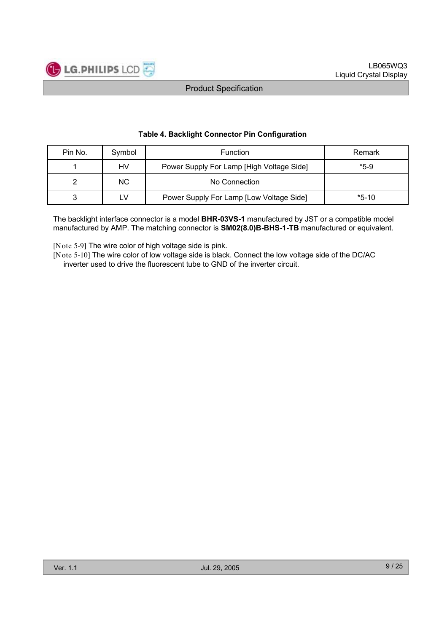

| Pin No. | Symbol | <b>Function</b>                           | Remark  |
|---------|--------|-------------------------------------------|---------|
|         | HV     | Power Supply For Lamp [High Voltage Side] | $*5-9$  |
|         | NC.    | No Connection                             |         |
| ິ       | τV     | Power Supply For Lamp [Low Voltage Side]  | $*5-10$ |

#### **Table 4. Backlight Connector Pin Configuration**

The backlight interface connector is a model **BHR-03VS-1** manufactured by JST or a compatible model manufactured by AMP. The matching connector is **SM02(8.0)B-BHS-1-TB** manufactured or equivalent.

[Note 5-9] The wire color of high voltage side is pink.

[Note 5-10] The wire color of low voltage side is black. Connect the low voltage side of the DC/AC inverter used to drive the fluorescent tube to GND of the inverter circuit.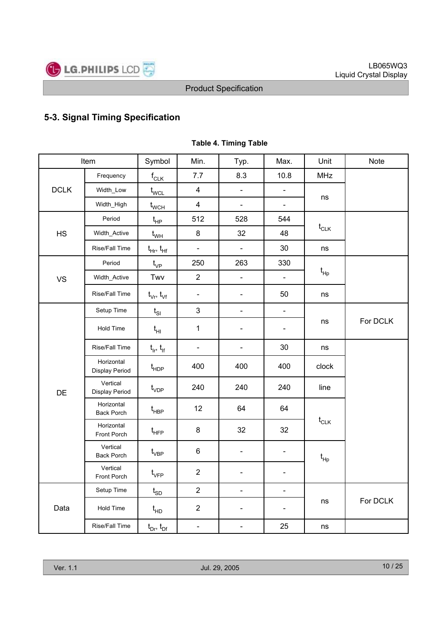

# **5-3. Signal Timing Specification**

|             | Item                            | Symbol                            | Min.                    | Typ.                     | Max.                     | Unit                         | <b>Note</b> |
|-------------|---------------------------------|-----------------------------------|-------------------------|--------------------------|--------------------------|------------------------------|-------------|
|             | Frequency                       | $f_{CLK}$                         | 7.7                     | 8.3                      | 10.8                     | <b>MHz</b>                   |             |
| <b>DCLK</b> | Width_Low                       | $t_{\text{WCL}}$                  | $\overline{4}$          | $\Box$                   | $\frac{1}{2}$            | ns                           |             |
|             | Width_High                      | $t_{\scriptscriptstyle\rm WCH}$   | $\overline{\mathbf{4}}$ | $\blacksquare$           | $\blacksquare$           |                              |             |
|             | Period                          | $t_{HP}$                          | 512                     | 528                      | 544                      |                              |             |
| HS          | Width_Active                    | $t_{WH}$                          | 8                       | 32                       | 48                       | $t_{CLK}$                    |             |
|             | Rise/Fall Time                  | $t_{\text{H}r}$ , $t_{\text{H}f}$ | ÷,                      | $\blacksquare$           | 30                       | ns                           |             |
|             | Period                          | $t_{\rm VP}$                      | 250                     | 263                      | 330                      |                              |             |
| <b>VS</b>   | Width_Active                    | Twv                               | $\overline{2}$          | $\Box$                   | $\Box$                   | $t_{\mathsf{Hp}}$            |             |
|             | Rise/Fall Time                  | $t_{\vee r}$ , $t_{\vee f}$       | $\blacksquare$          | $\blacksquare$           | 50                       | ns                           |             |
|             | Setup Time                      | $t_{\rm SI}$                      | 3                       | $\frac{1}{2}$            | $\blacksquare$           |                              |             |
|             | Hold Time                       | $t_{HI}$                          | $\mathbf{1}$            | $\blacksquare$           | $\overline{\phantom{a}}$ | ns                           | For DCLK    |
|             | Rise/Fall Time                  | $t_{ir}$ , $t_{if}$               | $\blacksquare$          | $\blacksquare$           | 30                       | ns                           |             |
|             | Horizontal<br>Display Period    | $t_{\sf HDP}$                     | 400                     | 400                      | 400                      | clock                        |             |
| DE          | Vertical<br>Display Period      | $t_{VDP}$                         | 240                     | 240                      | 240                      | line                         |             |
|             | Horizontal<br><b>Back Porch</b> | $t_{\sf HBP}$                     | 12                      | 64                       | 64                       |                              |             |
|             | Horizontal<br>Front Porch       | $t_{HFP}$                         | 8                       | 32                       | 32                       | $t_{CLK}$                    |             |
|             | Vertical<br><b>Back Porch</b>   | $\mathfrak{t}_{\mathsf{VBP}}$     | 6                       | $\blacksquare$           | $\blacksquare$           | $\mathfrak{t}_{\mathsf{Hp}}$ |             |
|             | Vertical<br>Front Porch         | $t_{\rm VFP}$                     | $\overline{2}$          | $\blacksquare$           | $\overline{\phantom{0}}$ |                              |             |
|             | Setup Time                      | $t_{SD}$                          | $\overline{2}$          | $\blacksquare$           | $\blacksquare$           |                              |             |
| Data        | Hold Time                       | $t_{HD}$                          | $\overline{2}$          | $\overline{\phantom{a}}$ | $\frac{1}{2}$            | ns                           | For DCLK    |
|             | Rise/Fall Time                  | $t_{Dr}$ , $t_{Df}$               | $\blacksquare$          | $\blacksquare$           | 25                       | ns                           |             |

### **Table 4. Timing Table**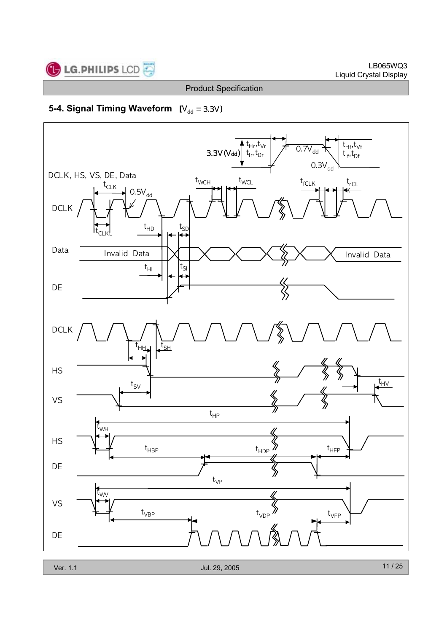

# **5-4. Signal Timing Waveform [**

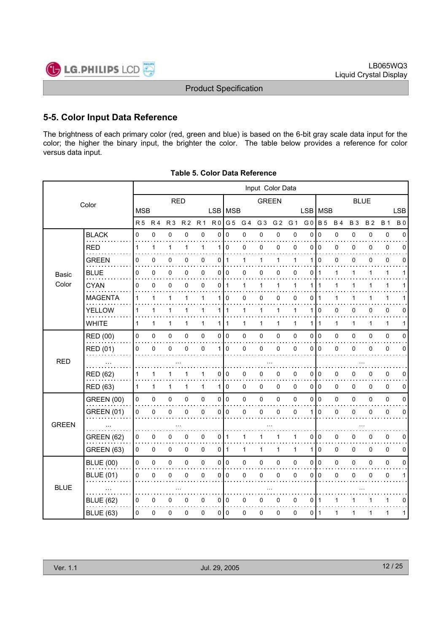

# **5-5. Color Input Data Reference**

The brightness of each primary color (red, green and blue) is based on the 6-bit gray scale data input for the color; the higher the binary input, the brighter the color. The table below provides a reference for color versus data input.

|              |                   |                |                |                |                |                |                |              |                | Input Color Data |                |             |                |                |              |             |           |              |             |
|--------------|-------------------|----------------|----------------|----------------|----------------|----------------|----------------|--------------|----------------|------------------|----------------|-------------|----------------|----------------|--------------|-------------|-----------|--------------|-------------|
|              | Color             |                |                | <b>RED</b>     |                |                |                |              |                | <b>GREEN</b>     |                |             |                |                |              | <b>BLUE</b> |           |              |             |
|              |                   |                | <b>MSB</b>     |                |                |                |                | LSB MSB      |                |                  |                |             | <b>LSB</b>     | <b>MSB</b>     |              |             |           |              | <b>LSB</b>  |
|              |                   | R <sub>5</sub> | R <sub>4</sub> | R <sub>3</sub> | R <sub>2</sub> | R <sub>1</sub> | R <sub>0</sub> | G 5          | G <sub>4</sub> | G <sub>3</sub>   | G <sub>2</sub> | G 1         | G <sub>0</sub> | <b>B</b> 5     | <b>B4</b>    | <b>B3</b>   | <b>B2</b> | <b>B</b> 1   | <b>B0</b>   |
|              | <b>BLACK</b>      | 0              | $\mathbf 0$    | 0              | 0              | 0              | $\Omega$       | $\Omega$     | 0              | 0                | 0              | 0           | $\mathbf 0$    | $\overline{0}$ | 0            | 0           | 0         | $\mathbf 0$  | $\Omega$    |
|              | <b>RED</b>        | 1              | 1              | 1              | 1              | 1              | 1              | $\mathbf 0$  | 0              | 0                | 0              | $\mathbf 0$ | 0              | $\mathbf 0$    | 0            | 0           | 0         | 0            | 0           |
|              | <b>GREEN</b>      | 0              | $\Omega$       | 0              | 0              | 0              | 0              | $\mathbf{1}$ | 1              | 1                | 1              | 1           | 1              | $\Omega$       | $\mathbf 0$  | 0           | 0         | $\mathbf 0$  | $\Omega$    |
| Basic        | BLUE              | 0              | 0              | 0              | 0              | 0              | 0              | 0            | 0              | 0                | 0              | 0           | 0              | $\mathbf 1$    | 1            | 1           | 1         | $\mathbf{1}$ | 1           |
| Color        | <b>CYAN</b>       | 0              | 0              | 0              | 0              | 0              | 0              | $\mathbf{1}$ | 1              | 1                | 1              | 1           | 1              | 1              | 1            | 1           | 1         | 1            |             |
|              | <b>MAGENTA</b>    | 1              | 1              | 1              | 1              | 1              | 1              | $\Omega$     | 0              | 0                | 0              | $\mathbf 0$ | 0              | $\mathbf 1$    | 1            | 1           | 1         | 1            |             |
|              | <b>YELLOW</b>     | 1              | 1              | 1              | 1              | 1              | 1 <sup>1</sup> | $\mathbf{1}$ | 1              | 1                | $\mathbf{1}$   | 1           | 1              | $\mathbf 0$    | 0            | 0           | 0         | 0            | 0           |
|              | <b>WHITE</b>      | $\mathbf{1}$   | 1              | 1              | 1              | $\mathbf{1}$   | $\mathbf{1}$   | $\mathbf{1}$ | 1              | 1                | $\mathbf{1}$   | 1           | 1              | $\mathbf{1}$   | $\mathbf{1}$ | 1           | 1         | $\mathbf{1}$ | 1           |
|              | RED (00)          | 0              | $\pmb{0}$      | 0              | 0              | $\pmb{0}$      | 0              | $\mathbf 0$  | 0              | $\mathbf 0$      | 0              | 0           | 0              | $\overline{0}$ | 0            | 0           | 0         | $\pmb{0}$    | $\Omega$    |
|              | RED (01)          | 0              | 0              | 0              | $\mathbf{0}$   | 0              | 1              | $\Omega$     | 0              | $\Omega$         | 0              | $\mathbf 0$ | 0              | $\Omega$       | 0            | 0           | 0         | 0            | $\Omega$    |
| <b>RED</b>   |                   |                |                |                |                |                |                |              |                |                  |                |             |                |                |              |             |           |              |             |
|              | <b>RED (62)</b>   | 1              |                | 1              |                | 1              | 0              | 0            | 0              | 0                | 0              | 0           | 0              | 0              | 0            | 0           | 0         | 0            | 0           |
|              | <b>RED (63)</b>   | 1              | 1              | 1              | 1              | $\mathbf{1}$   | 1              | 0            | 0              | 0                | 0              | 0           | 010            |                | 0            | 0           | 0         | $\mathbf 0$  | 0           |
|              | <b>GREEN (00)</b> | 0              | $\pmb{0}$      | 0              | 0              | $\pmb{0}$      | 0              | $\mathbf 0$  | 0              | $\pmb{0}$        | $\mathsf 0$    | 0           | 0              | I٥             | 0            | 0           | 0         | $\pmb{0}$    | 0           |
|              | <b>GREEN (01)</b> | 0              | $\mathbf 0$    | 0              | 0              | 0              | 0              | $\Omega$     | 0              | 0                | 0              | 0           | 1              | $\Omega$       | 0            | 0           | 0         | 0            | $\mathbf 0$ |
| <b>GREEN</b> |                   |                |                |                |                |                |                |              |                |                  |                |             |                |                |              |             |           |              |             |
|              | <b>GREEN (62)</b> | 0              | 0              | 0              | 0              | 0              | 0              | 1            | 1              | 1                | 1              | 1           | 0              | 0              | 0            | 0           | 0         | $\mathbf 0$  | 0           |
|              | <b>GREEN (63)</b> | 0              | 0              | 0              | 0              | 0              | 0              | $\mathbf{1}$ | 1              | $\mathbf{1}$     | 1              | 1           | 1              | $\mathbf 0$    | 0            | 0           | 0         | $\mathbf 0$  | 0           |
|              | <b>BLUE (00)</b>  | 0              | 0              | 0              | 0              | $\pmb{0}$      | $\overline{0}$ | $\pmb{0}$    | 0              | 0                | $\mathsf 0$    | 0           | 0              | I٥             | 0            | 0           | 0         | $\pmb{0}$    | 0           |
|              | <b>BLUE (01)</b>  | 0              | $\Omega$       | 0              | 0              | 0              | 0              | 0            | 0              | 0                | 0              | $\mathbf 0$ | 0              | l 0            | 0            | 0           | 0         | 0            | 1           |
| <b>BLUE</b>  |                   |                |                |                |                |                |                |              |                |                  |                |             |                |                |              |             |           |              |             |
|              | <b>BLUE (62)</b>  | 0              | $\mathbf 0$    | 0              | 0              | 0              | 0              | 0            | 0              | 0                | 0              | $\mathbf 0$ | 0              | $\mathbf 1$    | 1            |             |           | 1            | 0           |
|              | <b>BLUE (63)</b>  | 0              | $\mathbf 0$    | 0              | 0              | $\mathbf 0$    | 0              | $\Omega$     | 0              | 0                | 0              | 0           | 0              | l 1            | 1            | 1           | 1         | 1            | 1           |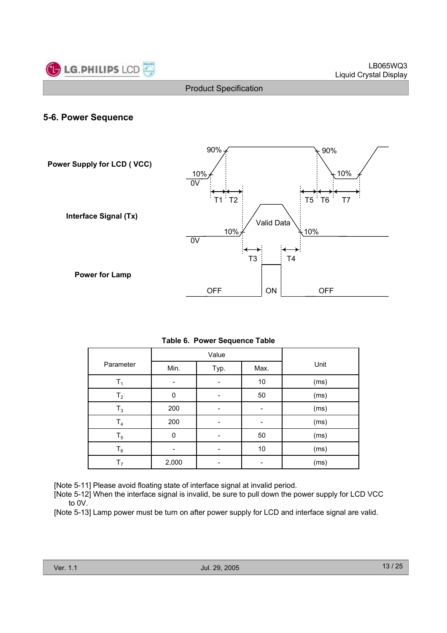

### **5-6. Power Sequence**



|                |          | Value |      |      |
|----------------|----------|-------|------|------|
| Parameter      | Min.     | Typ.  | Max. | Unit |
| T,             |          |       | $10$ | (ms) |
| $T_{2}$        | $\Omega$ |       | 50   | (ms) |
| $T_3$          | 200      |       |      | (ms) |
| T <sub>4</sub> | 200      |       |      | (ms) |
| $T_5$          | 0        |       | 50   | (ms) |
| $\mathsf{T}_6$ |          |       | 10   | (ms) |
| T,             | 2,000    |       |      | (ms) |

[Note 5-11] Please avoid floating state of interface signal at invalid period.

[Note 5-12] When the interface signal is invalid, be sure to pull down the power supply for LCD VCC to 0V.

[Note 5-13] Lamp power must be turn on after power supply for LCD and interface signal are valid.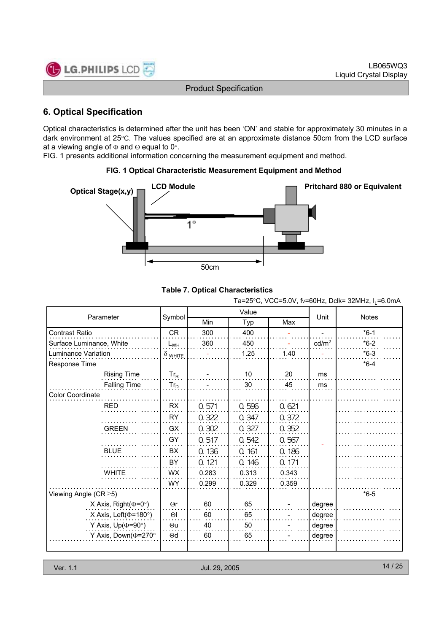

# **6. Optical Specification**

Optical characteristics is determined after the unit has been 'ON' and stable for approximately 30 minutes in a dark environment at 25°C. The values specified are at an approximate distance 50cm from the LCD surface at a viewing angle of  $\Phi$  and  $\Theta$  equal to 0°.

FIG. 1 presents additional information concerning the measurement equipment and method.

### **FIG. 1 Optical Characteristic Measurement Equipment and Method**



#### **Table 7. Optical Characteristics**

Ta=25°C, VCC=5.0V, fv=60Hz, Dclk= 32MHz,  $I_L$ =6.0mA

| Parameter                     |                |       | Value |       | Unit              | <b>Notes</b> |
|-------------------------------|----------------|-------|-------|-------|-------------------|--------------|
|                               | Symbol         | Min   | Typ   | Max   |                   |              |
| <b>Contrast Ratio</b>         | <b>CR</b>      | 300   | 400   |       |                   | $*6-1$       |
| Surface Luminance, White      | $L_{WH}$       | 360   | 450   |       | cd/m <sup>2</sup> | $*6-2$       |
| Luminance Variation           | $\delta$ white |       | 1.25  | 1.40  |                   | $*6-3$       |
| Response Time                 |                |       |       |       |                   | $*6-4$       |
| <b>Rising Time</b>            | $Tr_R$         |       | 10    | 20    | ms                |              |
| <b>Falling Time</b>           | $Tr_D$         |       | 30    | 45    | ms                |              |
| Color Coordinate              |                |       |       |       |                   |              |
| <b>RED</b>                    | <b>RX</b>      | 0.571 | 0.596 | 0.621 |                   |              |
|                               | <b>RY</b>      | 0.322 | 0.347 | 0.372 |                   |              |
| <b>GREEN</b>                  | GX             | 0.302 | 0.327 | 0.352 |                   |              |
|                               | GY             | 0.517 | 0.542 | 0.567 |                   |              |
| <b>BLUE</b>                   | BX             | 0.136 | 0.161 | 0.186 |                   |              |
|                               | BY             | 0.121 | 0.146 | 0.171 |                   |              |
| <b>WHITE</b>                  | <b>WX</b>      | 0.283 | 0.313 | 0.343 |                   |              |
|                               | <b>WY</b>      | 0.299 | 0.329 | 0.359 |                   |              |
| Viewing Angle $(CR \ge 5)$    |                |       |       |       |                   | $*6-5$       |
| X Axis, Right( $\Phi$ =0°)    | $\Theta$ r     | 60    | 65    |       | degree            |              |
| X Axis, Left( $\Phi$ =180°)   | $\Theta$       | 60    | 65    |       | degree            |              |
| Y Axis, $Up(\Phi=90^{\circ})$ | $\Theta$ u     | 40    | 50    |       | degree            |              |
| Y Axis, Down( $\Phi$ =270°    | $\Theta$ d     | 60    | 65    |       | degree            |              |
|                               |                |       |       |       |                   |              |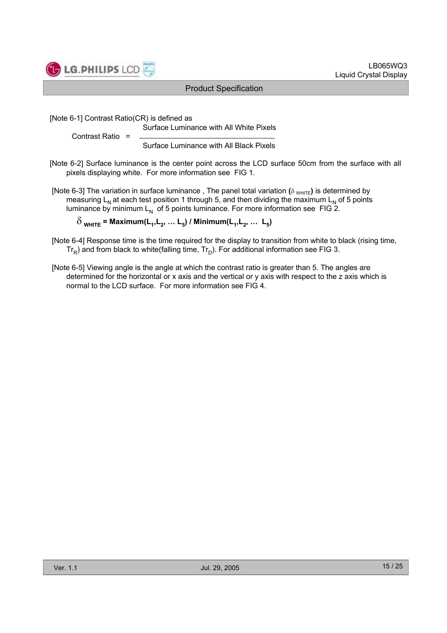

[Note 6-1] Contrast Ratio(CR) is defined as

Surface Luminance with All White Pixels

Contrast Ratio =

Surface Luminance with All Black Pixels

[Note 6-2] Surface luminance is the center point across the LCD surface 50cm from the surface with all pixels displaying white. For more information see FIG 1.

[Note 6-3] The variation in surface luminance, The panel total variation  $(\delta_{WHITE})$  is determined by measuring  $L_N$  at each test position 1 through 5, and then dividing the maximum  $L_N$  of 5 points luminance by minimum  $L_N$  of 5 points luminance. For more information see FIG 2.

 $\delta_{\text{WHITE}}$  = Maximum(L<sub>1</sub>, L<sub>2</sub>, ... L<sub>5</sub>) / Minimum(L<sub>1</sub>, L<sub>2</sub>, ... L<sub>5</sub>)

- [Note 6-4] Response time is the time required for the display to transition from white to black (rising time,  $Tr_R$ ) and from black to white(falling time,  $Tr_D$ ). For additional information see FIG 3.
- [Note 6-5] Viewing angle is the angle at which the contrast ratio is greater than 5. The angles are determined for the horizontal or x axis and the vertical or y axis with respect to the z axis which is normal to the LCD surface. For more information see FIG 4.

LB065WQ3

Liquid Crystal Display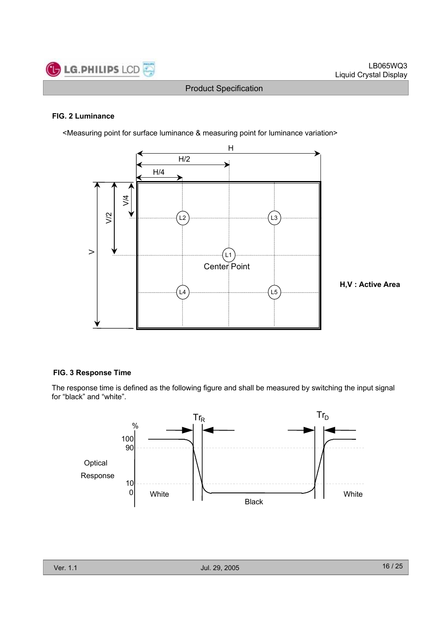

#### **FIG. 2 Luminance**

<Measuring point for surface luminance & measuring point for luminance variation>



**H,V : Active Area**

#### **FIG. 3 Response Time**

The response time is defined as the following figure and shall be measured by switching the input signal for "black" and "white".

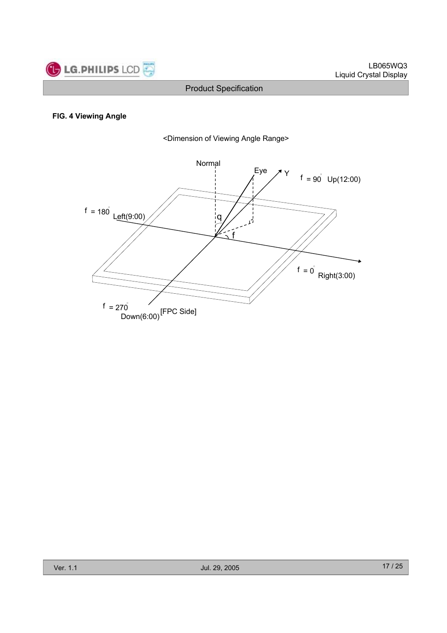

#### **FIG. 4 Viewing Angle**



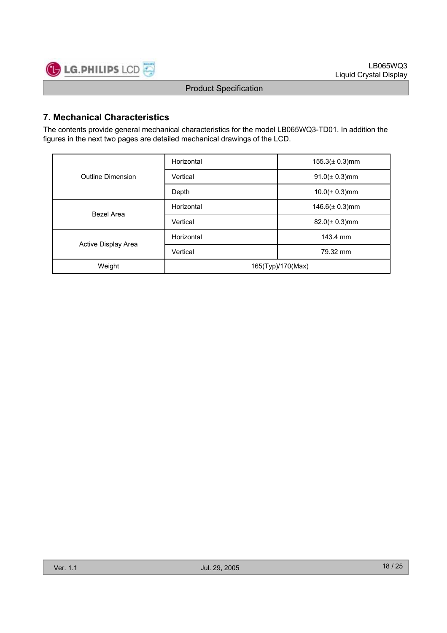

# **7. Mechanical Characteristics**

The contents provide general mechanical characteristics for the model LB065WQ3-TD01. In addition the figures in the next two pages are detailed mechanical drawings of the LCD.

|                     | Horizontal           | $155.3(\pm 0.3)$ mm |  |  |
|---------------------|----------------------|---------------------|--|--|
| Outline Dimension   | Vertical             | $91.0 (\pm 0.3)$ mm |  |  |
|                     | Depth                | $10.0(\pm 0.3)$ mm  |  |  |
| Bezel Area          | Horizontal           | 146.6( $\pm$ 0.3)mm |  |  |
|                     | Vertical             | $82.0 (\pm 0.3)$ mm |  |  |
|                     | Horizontal           | 143.4 mm            |  |  |
| Active Display Area | Vertical<br>79.32 mm |                     |  |  |
| Weight              | 165(Typ)/170(Max)    |                     |  |  |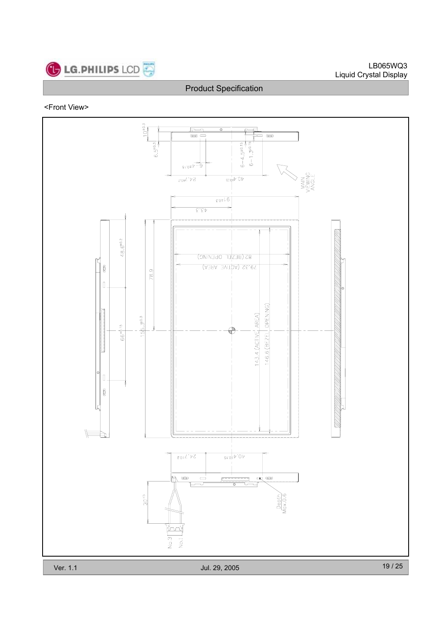

#### LB065WQ3 Liquid Crystal Display

# Product Specification

#### <Front View>

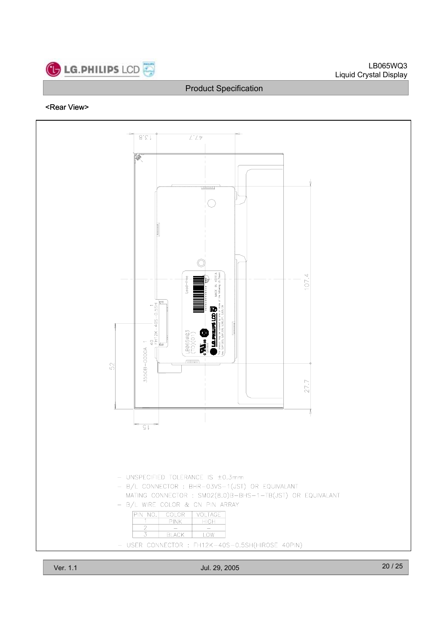

#### LB065WQ3 Liquid Crystal Display

#### Product Specification

#### <Rear View>

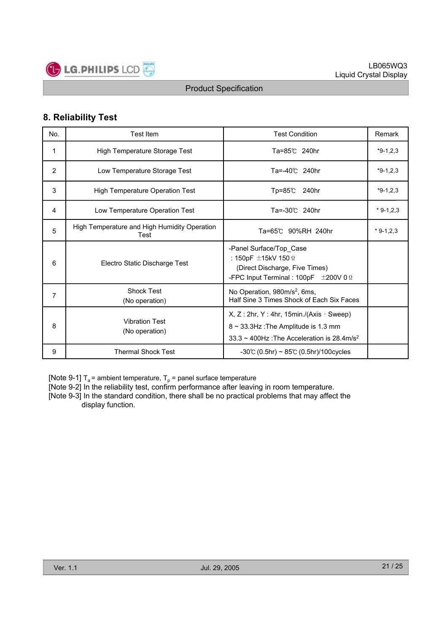

# **8. Reliability Test**

| No. | <b>Test Item</b>                                     | <b>Test Condition</b>                                                                                                                                   | Remark     |
|-----|------------------------------------------------------|---------------------------------------------------------------------------------------------------------------------------------------------------------|------------|
| 1   | High Temperature Storage Test                        | Ta=85℃ 240hr                                                                                                                                            | $*9-1,2,3$ |
| 2   | Low Temperature Storage Test                         | Ta=-40℃ 240hr                                                                                                                                           | $*9-1,2,3$ |
| 3   | High Temperature Operation Test                      | $Tp = 85^\circ$<br>240hr                                                                                                                                | $*9-1,2,3$ |
| 4   | Low Temperature Operation Test                       | Ta=-30℃ 240hr                                                                                                                                           | $*9-1,2,3$ |
| 5   | High Temperature and High Humidity Operation<br>Test | Ta=65℃ 90%RH 240hr                                                                                                                                      | $*9-1,2,3$ |
| 6   | Electro Static Discharge Test                        | -Panel Surface/Top Case<br>: 150pF $\pm$ 15kV 150 $\Omega$<br>(Direct Discharge, Five Times)<br>-FPC Input Terminal : 100pF $\pm$ 200V 0 $\Omega$       |            |
| 7   | <b>Shock Test</b><br>(No operation)                  | No Operation, 980m/s <sup>2</sup> , 6ms,<br>Half Sine 3 Times Shock of Each Six Faces                                                                   |            |
| 8   | <b>Vibration Test</b><br>(No operation)              | $X, Z: 2hr, Y: 4hr, 15min./(Axis · Sweep)$<br>$8 \sim 33.3$ Hz: The Amplitude is 1.3 mm<br>$33.3 \sim 400$ Hz: The Acceleration is 28.4m/s <sup>2</sup> |            |
| 9   | <b>Thermal Shock Test</b>                            | $-30$ °C (0.5hr) ~ 85°C (0.5hr)/100cycles                                                                                                               |            |

[Note 9-1]  $T_a$  = ambient temperature,  $T_p$  = panel surface temperature

[Note 9-2] In the reliability test, confirm performance after leaving in room temperature.

[Note 9-3] In the standard condition, there shall be no practical problems that may affect the display function.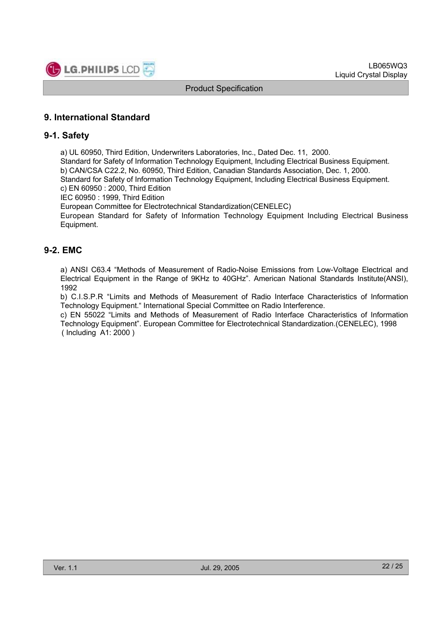

# **9. International Standard**

### **9-1. Safety**

a) UL 60950, Third Edition, Underwriters Laboratories, Inc., Dated Dec. 11, 2000.

Standard for Safety of Information Technology Equipment, Including Electrical Business Equipment. b) CAN/CSA C22.2, No. 60950, Third Edition, Canadian Standards Association, Dec. 1, 2000. Standard for Safety of Information Technology Equipment, Including Electrical Business Equipment.

c) EN 60950 : 2000, Third Edition

IEC 60950 : 1999, Third Edition

European Committee for Electrotechnical Standardization(CENELEC)

European Standard for Safety of Information Technology Equipment Including Electrical Business Equipment.

# **9-2. EMC**

a) ANSI C63.4 "Methods of Measurement of Radio-Noise Emissions from Low-Voltage Electrical and Electrical Equipment in the Range of 9KHz to 40GHz". American National Standards Institute(ANSI), 1992

b) C.I.S.P.R "Limits and Methods of Measurement of Radio Interface Characteristics of Information Technology Equipment." International Special Committee on Radio Interference.

c) EN 55022 "Limits and Methods of Measurement of Radio Interface Characteristics of Information Technology Equipment". European Committee for Electrotechnical Standardization.(CENELEC), 1998 ( Including A1: 2000 )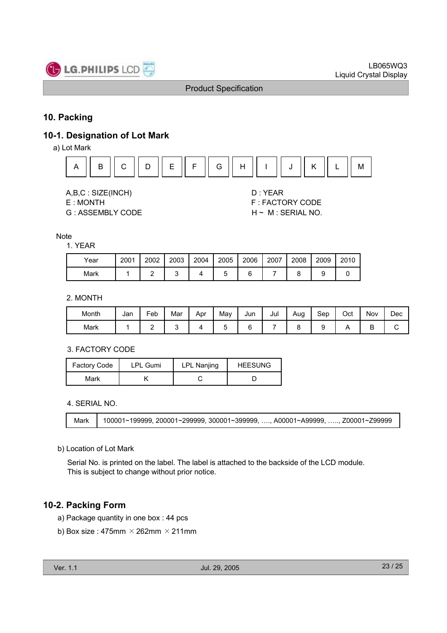

# **10. Packing**

# **10-1. Designation of Lot Mark**

a) Lot Mark



A,B,C : SIZE(INCH) D : YEAR

G : ASSEMBLY CODE H ~ M : SERIAL NO.

E : MONTH F : FACTORY CODE

#### **Note**

1. YEAR

| Year | 2001 | 2002 | 2003 | 2004 | 2005 | 2006 | 2007 | 2008 | 2009 | 2010 |
|------|------|------|------|------|------|------|------|------|------|------|
| Mark |      |      |      |      |      |      |      |      |      |      |

#### 2. MONTH

| Month | Jan | -<br>Feb | Mar | Apr | Mav    | Jun | Jul | Aug | Sep | Oct | Nov    | Dec |
|-------|-----|----------|-----|-----|--------|-----|-----|-----|-----|-----|--------|-----|
| Mark  |     | -        |     |     | -<br>∼ |     |     |     |     |     | с<br>▫ | ັ   |

#### 3. FACTORY CODE

| Factory Code | <b>LPL Gumi</b> | LPL Nanjing | <b>HEESUNG</b> |
|--------------|-----------------|-------------|----------------|
| Mark         |                 |             |                |

#### 4. SERIAL NO.

| Mark | $100001$ ~199999, 200001~299999, 300001~399999, …., A00001~A99999, …, Z00001~Z99999 |
|------|-------------------------------------------------------------------------------------|

#### b) Location of Lot Mark

Serial No. is printed on the label. The label is attached to the backside of the LCD module. This is subject to change without prior notice.

# **10-2. Packing Form**

- a) Package quantity in one box : 44 pcs
- b) Box size : 475mm  $\times$  262mm  $\times$  211mm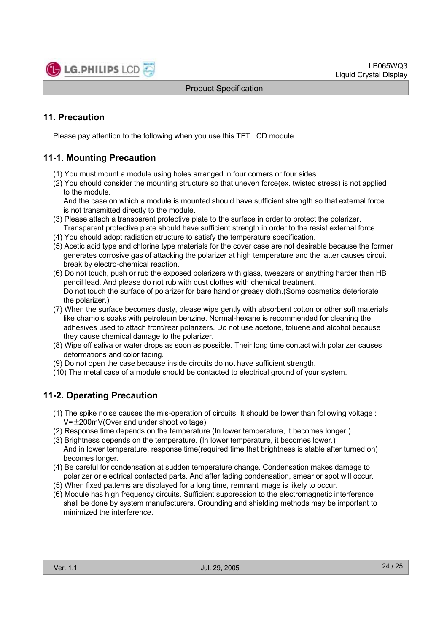

# **11. Precaution**

Please pay attention to the following when you use this TFT LCD module.

# **11-1. Mounting Precaution**

- (1) You must mount a module using holes arranged in four corners or four sides.
- (2) You should consider the mounting structure so that uneven force(ex. twisted stress) is not applied to the module.

And the case on which a module is mounted should have sufficient strength so that external force is not transmitted directly to the module.

- (3) Please attach a transparent protective plate to the surface in order to protect the polarizer. Transparent protective plate should have sufficient strength in order to the resist external force.
- (4) You should adopt radiation structure to satisfy the temperature specification.
- (5) Acetic acid type and chlorine type materials for the cover case are not desirable because the former generates corrosive gas of attacking the polarizer at high temperature and the latter causes circuit break by electro-chemical reaction.
- (6) Do not touch, push or rub the exposed polarizers with glass, tweezers or anything harder than HB pencil lead. And please do not rub with dust clothes with chemical treatment. Do not touch the surface of polarizer for bare hand or greasy cloth.(Some cosmetics deteriorate the polarizer.)
- (7) When the surface becomes dusty, please wipe gently with absorbent cotton or other soft materials like chamois soaks with petroleum benzine. Normal-hexane is recommended for cleaning the adhesives used to attach front/rear polarizers. Do not use acetone, toluene and alcohol because they cause chemical damage to the polarizer.
- (8) Wipe off saliva or water drops as soon as possible. Their long time contact with polarizer causes deformations and color fading.
- (9) Do not open the case because inside circuits do not have sufficient strength.
- (10) The metal case of a module should be contacted to electrical ground of your system.

# **11-2. Operating Precaution**

- (1) The spike noise causes the mis-operation of circuits. It should be lower than following voltage :  $V=\pm200$ mV(Over and under shoot voltage)
- (2) Response time depends on the temperature.(In lower temperature, it becomes longer.)
- (3) Brightness depends on the temperature. (In lower temperature, it becomes lower.) And in lower temperature, response time(required time that brightness is stable after turned on) becomes longer.
- (4) Be careful for condensation at sudden temperature change. Condensation makes damage to polarizer or electrical contacted parts. And after fading condensation, smear or spot will occur.
- (5) When fixed patterns are displayed for a long time, remnant image is likely to occur.
- (6) Module has high frequency circuits. Sufficient suppression to the electromagnetic interference shall be done by system manufacturers. Grounding and shielding methods may be important to minimized the interference.